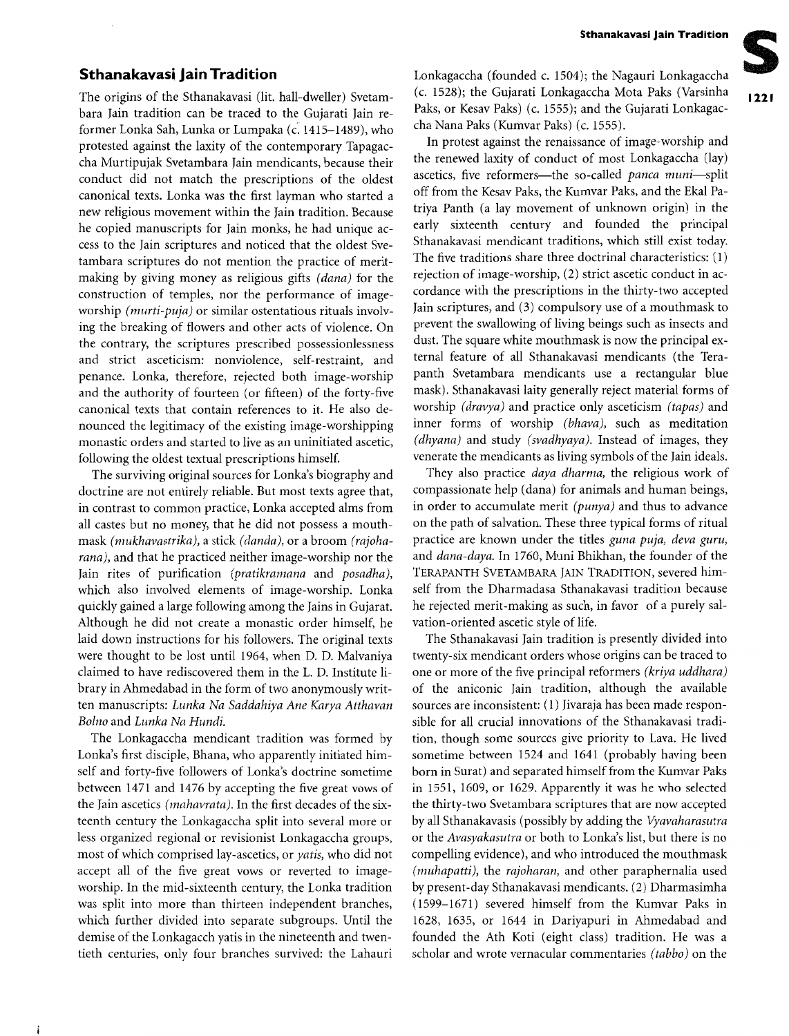1221

# Sthanakavasi Jain Tradition

cha Murtipujak Svetambara fain mendicants, because their The origins of the sulahakavasi (iii, hall-dweller) svetambara Jain tradition can be traced to the Gujarati Jain re-<br>former Lonka Sah, Lunka or Lumpaka (c. 1415–1489), who protested against the laxity of the contemporary Tapagacprotested against the faxity of the contemporary rapagaccha ivulupujak svetambala jain mendicams, because their conduct did not match the prescriptions of the oldest canonical texts. Lonka was the first layman who started a new religious movement within the Jain tradition. Because he copied manuscripts for Jain monks, he had unique access to the Jain scriptures and noticed that the oldest Svetambara scriptures do not mention the practice of meritmaking by giving money as religious gifts  $(dana)$  for the construction of temples, nor the performance of imageworship (murti-puja) or similar ostentatious rituals involving the breaking of flowers and other acts of violence. On the contrary, the scriptures prescribed possessionlessness and strict asceticism: nonviolence, self-restraint, and penance. Lonka, therefore, rejected both image-worship and the authority of fourteen (or fifteen) of the forty-five canonical texts that contain references to it. He also denounced the legitimacy of the existing image-worshipping monastic orders and started to live as an uninitiated ascetic. following the oldest textual prescriptions himself.

The origins of the Sthanakavasi (lit. hall-dweller) Svetam-

The surviving original sources for Lonka's biography and doctrine are not entirely reliable. But most texts agree that, in contrast to common practice, Lonka accepted alms from<br>all castes but no money, that he did not possess a mouthan castes but no money, that he did not possess a modul- $\max_{\{n\}}$  ( $\min_{\{n\}}$ , he did not called the did not called himself he did not called himself himself himself he did not called himself he did not called himself he did not called himself he did not called himself he did rana), and that he practiced neither image-worship nor the Jain rites of purification (pratikramana and posadha), which also involved elements of image-worship. Lonka quickly gained a large following among the Jains in Gujarat. Although he did not create a monastic order himself, he laid down instructions for his followers. The original texts were thought to be lost until 1964, when D. D. Malvaniva claimed to have rediscovered them in the L. D. Institute library in Ahmedabad in the form of two anonymously written manuscripts: Lunka Na Saddahiya Ane Karya Atthavan<br>Bolno and Lunka Na Hundi. the Jain ascetics (mahavrata).In the first decades of the six-

the Lonkagaccha mentically tradition was formed by  $\frac{16}{16}$  regional organization  $\frac{1}{6}$  regional organization  $\frac{1}{6}$  regional  $\frac{1}{6}$  regional  $\frac{1}{6}$  regional  $\frac{1}{6}$  regional  $\frac{1}{6}$  regional  $\frac{1}{6}$  regional  $\frac{1}{6}$  regional  $\frac{1}{6}$  regional  $\frac$ sen and forty-five followers of Lonka's doctrine something between 1471 and 1476 by accepting the five great vows of the Jain ascetics (*mahavrata*). In the first decades of the six-<br>teenth century the Lonkagaccha split into several more or was selected was split into several more of was organized regional of revisionist Lonkagacena groups, most of which comprised lay-ascetics, or yatis, who did not accept all of the five great vows or reverted to image-<br>worship. In the mid-sixteenth century, the Lonka tradition was split into more than thirteen independent branches, which further divided into separate subgroups. Until the demise of the Lonkagacch yatis in the nineteenth and twentieth centuries, only four branches survived: the Lahauri

In protest and  $\frac{1}{2}$  images and images  $\frac{1}{2}$  images of  $\frac{1}{2}$  images of images  $\frac{1}{2}$  $t_{\text{total}}$  (renewed c. 1904), the regault Lonkagaccha (lay) of  $\mathcal{L}$ (c. 1528); the Gujarati Lonkagaccha Mota Paks (Varsinha Paks, or Kesav Paks) (c. 1555); and the Gujarati Lonkagac-<br>cha Nana Paks (Kumvar Paks) (c. 1555).

In protest against the renaissance of image-worship and extend the protest against the remaissance of mage-worsing and State reflected have to conduct of most convagace the (tay). ascetics, five reformers—the so-called *panca muni*—split off from the Kesav Paks, the Kumvar Paks, and the Ekal Patriya Panth (a lay movement of unknown origin) in the cordance with the present with the present the third the third the third the third the third the third the third the third the third the third the third the third the third the third the third the third the third the third faily statement century and founded the principal Sthanakavasi mendicant traditions, which still exist today.<br>The five traditions share three doctrinal characteristics: (1) The five traditions share three doctrinar characteristics. (1)  $t_{\text{c}}$  feature of all  $\alpha$ - $\alpha$  state asi and  $\alpha$ particular mention successful mention and the rectangular blue and the rectangular blue and the rectangular blue and the rectangular blue and the rectangular blue and the rectangular blue and the rectangular blue and the r  $\frac{1}{2}$  and  $\frac{1}{2}$  compaison  $\frac{1}{2}$  are of a modernizes to prevent the swallowing of living beings such as insects and dust. The square white mouthmask is now the principal external feature of all Sthanakavasi mendicants (the Tera-<br>panth Svetambara mendicants use a rectangular blue mask). Sthanakavasi laity generally reject material forms of ask). Straharavasi laity generally reject material forms of worsing (*aravya)* and practice only ascerteism (*tapas*) and inner forms of worship (bhava), such as meditation (dhyana) and study (svadhyaya). Instead of images, they  $\frac{1}{2}$  (anywhat stational formal forms of the salvation of  $\frac{1}{2}$  for  $\frac{1}{2}$  for  $\frac{1}{2}$   $\frac{1}{2}$  for  $\frac{1}{2}$   $\frac{1}{2}$ produce the inchendral as living symbols of the fail fueals.

They also practice *daya dharma*, the religious work of compassionate help (dana) for animals and human beings, tompassionate neip (dana) for annihais and numan beings  $\sum_{n=1}^{\infty} \frac{1}{n^2} \int_{0}^{1} \frac{1}{n^2} \frac{1}{n^2} \frac{1}{n^2} \frac{1}{n^2} \frac{1}{n^2} \frac{1}{n^2} \frac{1}{n^2} \frac{1}{n^2} \frac{1}{n^2} \frac{1}{n^2} \frac{1}{n^2} \frac{1}{n^2} \frac{1}{n^2} \frac{1}{n^2} \frac{1}{n^2} \frac{1}{n^2} \frac{1}{n^2} \frac{1}{n^2} \frac{1}{n^2} \frac{1}{n^2} \frac{1}{n^2} \frac$ on the path of salvation. These three typical forms of ritual practice are known under the titles *guna puja, deva guru*, and *dana-daya*. In 1760, Muni Bhikhan, the founder of the TERAPANTH SVETAMBARA JAIN TRADITION, severed himself from the Dharmadasa Sthanakavasi tradition because one five principal regional reformation of the five principal reformers (kristal reformation of the state of the state of the state of the state of the state of the state of the state of the state of the state of the state  $\frac{1}{\sqrt{2}}$  the aniconic lattice and  $\frac{1}{\sqrt{2}}$  the available available available available available available available available available available available available available available available available availa valion-oriented ascelle style of file.<br>The Sthanglessee Isin to dition is necessarily divided into

sible for all crucial innovations of the Structure of the Structure of the State State of the State State Structure of the State State State State State State State State State State State State State State State State Sta twenty-six included to the source of  $\epsilon$ .  $\epsilon$ one of more of the hive principal reformers (*kriya addraga)*  $\sigma$  in Suration in Suration, and separated himself from the Kumvar Pakistan Pakistan Pakistan Pakistan Pakistan Pakistan Pakistan Pakistan Pakistan Pakistan Pakistan Pakistan Pakistan Pakistan Pakistan Pakistan Pakistan  $\frac{1}{15}$  in  $\frac{1}{15}$  in  $\frac{1}{15}$  in the who selected it was he who selected it was he who selected it was he who selected it was he who selected it was he was he was he was he was he was he was he was he was he was  $t_{\text{tot}}$  to an erucial importancies of the other axe name bon, mough some sources give priority to Lava. The fiveur something occurrent 1524 and 1641 (probably having been com in ourar) and separated introduced trom the reduced trans in 1551, 1609, or 1629. Apparently it was he who selected the thirty-two Svetambara scriptures that are now accepted by all Sthanakavasis (possibly by adding the *Vyavaharasutra* or the Avasyakasutra or both to Lonka's list, but there is no compelling evidence), and who introduced the mouthmask (muhapatti), the rajoharan, and other paraphernalia used<br>by present-day Sthanakavasi mendicants. (2) Dharmasimha (1599–1671) severed himself from the Kumvar Paks in 1628, 1635, or 1644 in Dariyapuri in Ahmedabad and founded the Ath Koti (eight class) tradition. He was a scholar and wrote vernacular commentaries (tabbo) on the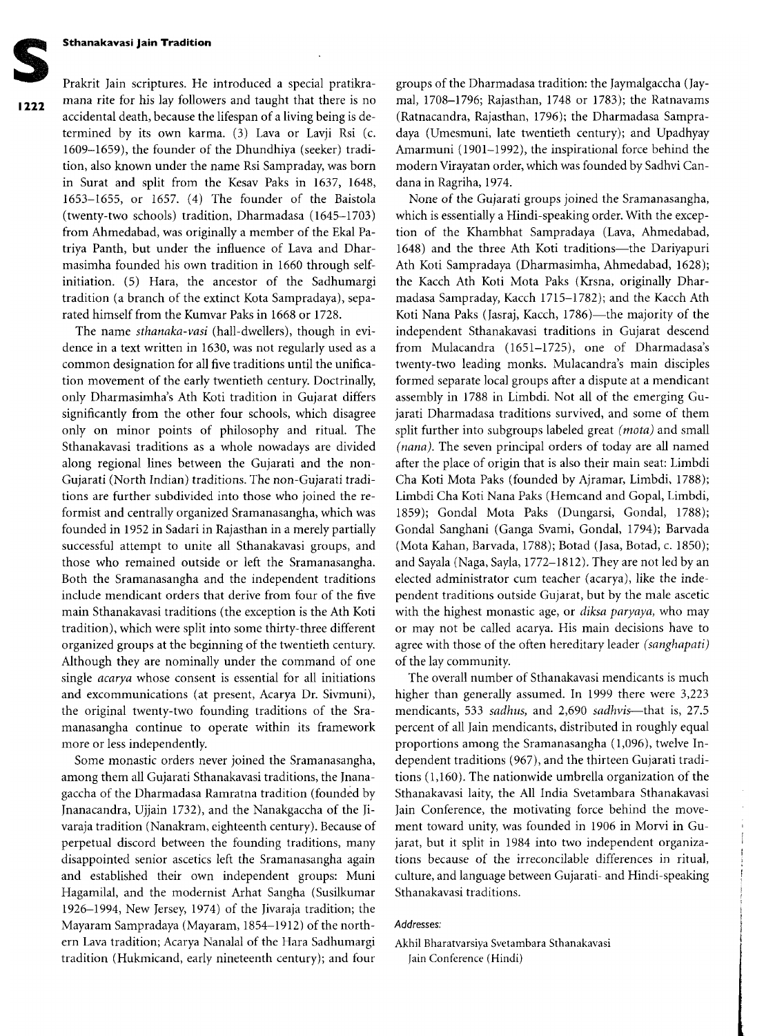

1222

Prakrit Jain scriptures. He introduced a special pratikramana rite for his lay followers and taught that there is no accidental death, because the lifespan of a living being is determined by its own karma. (3) Lava or Lavji Rsi (c. 1609-1659), the founder of the Dhundhiya (seeker) tradition, also known under the name Rsi Sampraday, was born in Surat and split from the Kesav Paks in 1637, 1648, 1653-1655, or 1657. (4) The founder of the Baistola (twenty-two schools) tradition, Dharmadasa (1645-1703) from Ahmedabad, was originally a member of the Ekal Patriya Panth, but under the influence of Lava and Dharmasimha founded his own tradition in 1660 through selfinitiation. (5) Hara, the ancestor of the Sadhumargi tradition (a branch of the extinct Kota Sampradaya), separated himself from the Kumvar Paks in L668 or 1728.

The name sthanaka-vasi (hall-dwellers), though in evidence in a text written in 1630, was not regularly used as a common designation for all five traditions until the unification movement of the early twentieth century. Doctrinally, only Dharmasimha's Ath Koti tradition in Gujarat differs significantly from the other four schools, which disagree only on minor points of philosophy and ritual. The Sthanakavasi traditions as a whole nowadays are divided along regional lines between the Gujarati and the non-Gujarati (North Indian) traditions. The non-Gujarati traditions are further subdivided into those who joined the reformist and centrally organized Sramanasangha, which was founded in 1952 in Sadari in Rajasthan in a merely partially successful attempt to unite all Sthanakavasi groups, and those who remained outside or left the Sramanasangha. Both the Sramanasangha and the independent traditions include mendicant orders that derive from four of the five main Sthanakavasi traditions (the exception is the Ath Koti tradition), which were split into some thirty-three different organized groups at the beginning of the twentieth century. Although they are nominally under the command of one single acarya whose consent is essential for all initiations and excommunications (at present, Acarya Dr. Sivmuni), the original twenty-two founding traditions of the Sramanasangha continue to operate within its framework more or less independently.

Some monastic orders never joined the Sramanasangha, among them all Gujarati Sthanakavasi traditions, the Inanagaccha of the Dharmadasa Ramratna tradition (founded by Jnanacandra, Ujjain 1732), and the Nanakgaccha of the Jivaraja tradition (Nanakram, eighteenth century). Because of perpetual discord between the founding traditions, many disappointed senior ascetics left the Sramanasangha gain and established their own independent groups: Muni Hagamilal, and the modernist Arhat Sangha (Susilkumar 1926-1994, New lersey, 1974) of the fivaraja tradition; the Mayaram Sampradaya (Mayaram, 1854-1912) of the northern Lava tradition; Acarya Nanalal of the Hara Sadhumargi tradition (Hukmicand, early nineteenth century); and four

groups of the Dharmadasa tradition: the faymalgaccha (faymal, 1708-1796; Rajasthan, 1748 or 1783); the Ratnavams (Ratnacandra, Rajasthan, 1796); the Dharmadasa Sampradaya (Umesmuni, late twentieth century); and Upadhyay Amarmuni (1901-1992), the inspirational force behind the modern Virayatan order, which was founded by Sadhvi Candana in Ragriha, 1974.

None of the Gujarati groups joined the Sramanasangha, which is essentially a Hindi-speaking order. With the exception of the Khambhat Sampradaya (Lava, Ahmedabad, 1648) and the three Ath Koti traditions-the Dariyapuri Ath Koti Sampradaya (Dharmasimha, Ahmedabad, 1628); the Kacch Ath Koti Mota Paks (Krsna, originally Dharmadasa Sarnpraday, Kacch l7l5-1782); and the Kacch Ath Koti Nana Paks (Jasraj, Kacch, 1786)—the majority of the independent Sthanakavasi traditions in Gujarat descend from Mulacandra (1651-1725), one of Dharmadasa's twenty-two leading monks. Mulacandra's main disciples formed separate local groups after a dispute at a mendicant assembly in 1788 in Limbdi. Not all of the emerging Gujarati Dharmadasa traditions survived, and some of them split further into subgroups labeled great (mota) and small (nana). The seven principal orders of today are all named after the place of origin that is also their main seat: l.imbdi Cha Koti Mota Paks (founded by Ajramar, Limbdi, 1788); Limbdi Cha Koti Nana Paks (Hemcand and Gopal, Limbdi, 1859); Gondal Mota Paks (Dungarsi, Gondal, 1788); Gondal Sanghani (Ganga Svami, Gondal, 1794); Barvada (Mota Kahan, Barvada, 1788); Botad (Jasa, Botad, c. 1850); and Sayala (Naga, Sayla, 1772-1812). They are not led by an elected administrator cum teacher (acarya), like the independent traditions outside Gujarat, but by the male ascetic with the highest monastic age, or *diksa paryaya*, who may or may not be called acarya. His main decisions have to agree with those of the often hereditary leader (sanghapati) of the lay community.

The overall number of Sthanakavasi mendicants is much higher than generally assumed. In 1999 there were 3,223 mendicants, 533 sadhus, and 2,690 sadhvis-that is, 27.5 percent of all fain mendicants, distributed in roughly equal proportions among the Sramanasangha (1,096), twelve Independent traditions (967), and the thirteen Gujarati traditions (1,160). The nationwide umbrella organization of the Sthanakavasi laity, the AII India Svetambara Sthanakavasi Jain Conference, the motivating force behind the movement toward unity, was founded in 1906 in Morvi in Gujarat, but it split in 1984 into two independent organizations because of the irreconcilable differences in ritual, culture, and language befiveen Gujarati- and Hindi-speaking Sthanakavasi traditions.

#### Addresses:

Akhil Bharatvarsiya Svetambara Sthanakavasi fain Conference (Hindi)